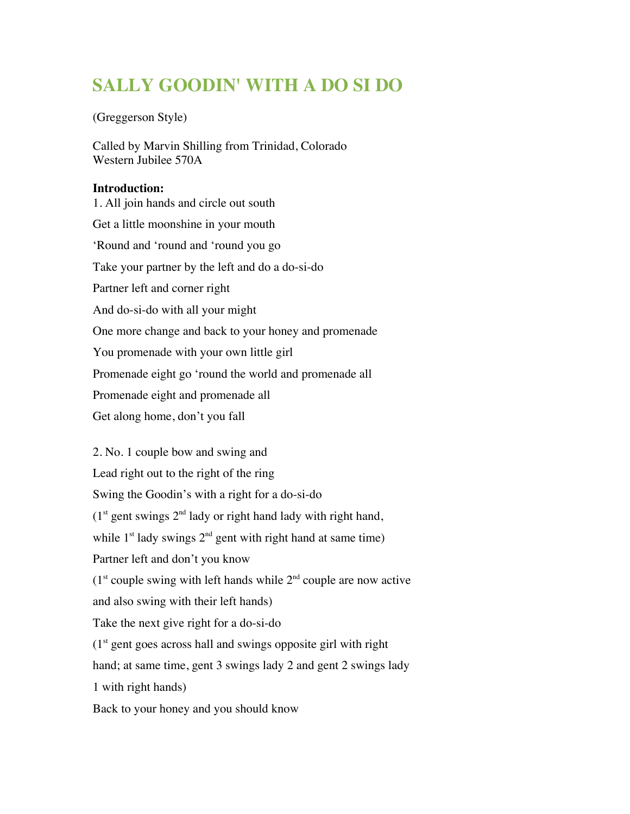## **SALLY GOODIN' WITH A DO SI DO**

## (Greggerson Style)

Called by Marvin Shilling from Trinidad, Colorado Western Jubilee 570A

## **Introduction:**

1. All join hands and circle out south Get a little moonshine in your mouth 'Round and 'round and 'round you go Take your partner by the left and do a do-si-do Partner left and corner right And do-si-do with all your might One more change and back to your honey and promenade You promenade with your own little girl Promenade eight go 'round the world and promenade all Promenade eight and promenade all Get along home, don't you fall

2. No. 1 couple bow and swing and Lead right out to the right of the ring Swing the Goodin's with a right for a do-si-do  $(1<sup>st</sup>$  gent swings  $2<sup>nd</sup>$  lady or right hand lady with right hand, while  $1<sup>st</sup>$  lady swings  $2<sup>nd</sup>$  gent with right hand at same time) Partner left and don't you know  $(1<sup>st</sup> \text{ couple swing with left hands while } 2<sup>nd</sup> \text{ couple are now active})$ and also swing with their left hands) Take the next give right for a do-si-do  $(1<sup>st</sup>$  gent goes across hall and swings opposite girl with right hand; at same time, gent 3 swings lady 2 and gent 2 swings lady 1 with right hands) Back to your honey and you should know